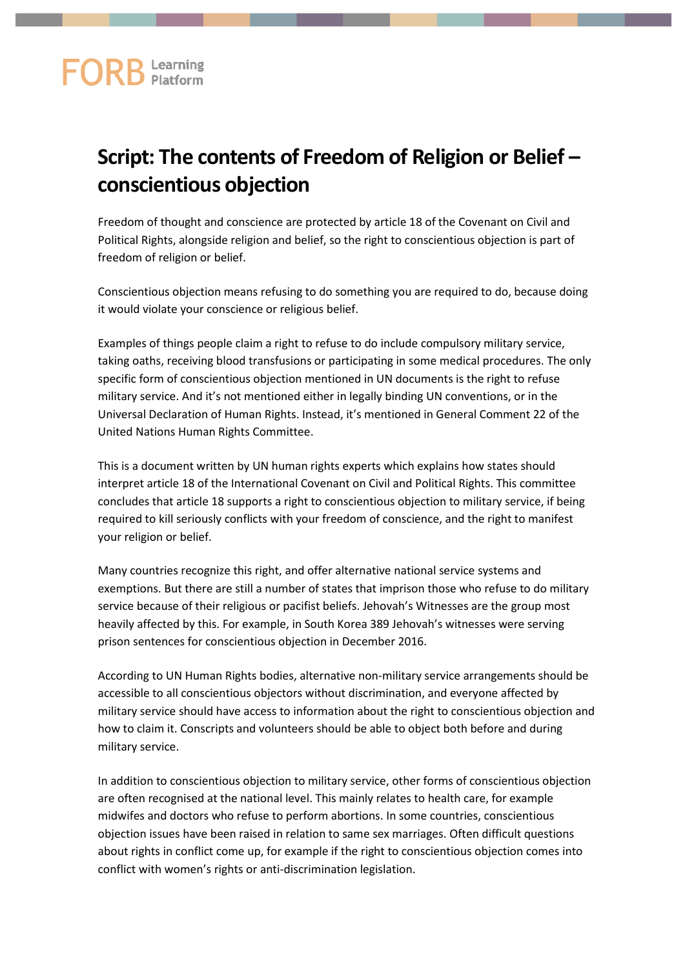## **FORB** Learning

## **Script: The contents of Freedom of Religion or Belief – conscientious objection**

Freedom of thought and conscience are protected by article 18 of the Covenant on Civil and Political Rights, alongside religion and belief, so the right to conscientious objection is part of freedom of religion or belief.

Conscientious objection means refusing to do something you are required to do, because doing it would violate your conscience or religious belief.

Examples of things people claim a right to refuse to do include compulsory military service, taking oaths, receiving blood transfusions or participating in some medical procedures. The only specific form of conscientious objection mentioned in UN documents is the right to refuse military service. And it's not mentioned either in legally binding UN conventions, or in the Universal Declaration of Human Rights. Instead, it's mentioned in General Comment 22 of the United Nations Human Rights Committee.

This is a document written by UN human rights experts which explains how states should interpret article 18 of the International Covenant on Civil and Political Rights. This committee concludes that article 18 supports a right to conscientious objection to military service, if being required to kill seriously conflicts with your freedom of conscience, and the right to manifest your religion or belief.

Many countries recognize this right, and offer alternative national service systems and exemptions. But there are still a number of states that imprison those who refuse to do military service because of their religious or pacifist beliefs. Jehovah's Witnesses are the group most heavily affected by this. For example, in South Korea 389 Jehovah's witnesses were serving prison sentences for conscientious objection in December 2016.

According to UN Human Rights bodies, alternative non-military service arrangements should be accessible to all conscientious objectors without discrimination, and everyone affected by military service should have access to information about the right to conscientious objection and how to claim it. Conscripts and volunteers should be able to object both before and during military service.

In addition to conscientious objection to military service, other forms of conscientious objection are often recognised at the national level. This mainly relates to health care, for example midwifes and doctors who refuse to perform abortions. In some countries, conscientious objection issues have been raised in relation to same sex marriages. Often difficult questions about rights in conflict come up, for example if the right to conscientious objection comes into conflict with women's rights or anti-discrimination legislation.